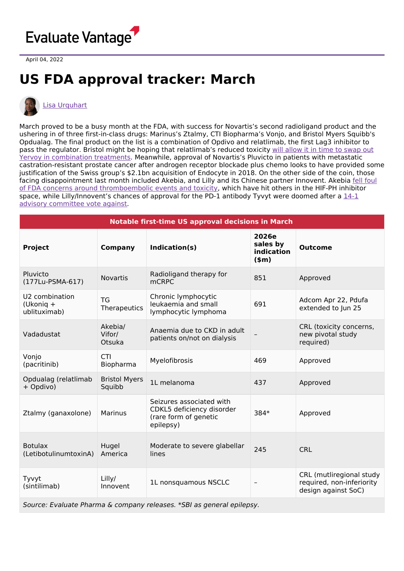

April 04, 2022

## **US FDA approval tracker: March**



## Lisa [Urquhart](https://www.evaluate.com/vantage/editorial-team/lisa-urquhart)

March proved to be a busy month at the FDA, with success for Novartis's second radioligand product and the ushering in of three first-in-class drugs: Marinus's Ztalmy, CTI Biopharma's Vonjo, and Bristol Myers Squibb's Opdualag. The final product on the list is a combination of Opdivo and relatlimab, the first Lag3 inhibitor to pass the regulator. Bristol might be hoping that [relatlimab's](https://www.evaluate.com/vantage/articles/news/trial-results/whats-next-relatlimab) reduced toxicity will allow it in time to swap out Yervoy in combination treatments. Meanwhile, approval of Novartis's Pluvicto in patients with metastatic castration-resistant prostate cancer after androgen receptor blockade plus chemo looks to have provided some justification of the Swiss group's \$2.1bn acquisition of Endocyte in 2018. On the other side of the coin, those facing disappointment last month included Akebia, and Lilly and its Chinese partner Innovent. Akebia fell foul of FDA concerns around [thromboembolic](https://www.evaluate.com/vantage/articles/news/policy-and-regulation-snippets/akebias-vadadustat-knockback-increases-class) events and toxicity, which have hit others in the HIF-PH inhibitor space, while [Lilly/Innovent's](https://www.evaluate.com/vantage/articles/news/policy-and-regulation/how-china-applicants-could-avoid-sintilimab-scenario) chances of approval for the PD-1 antibody Tyvyt were doomed after a 14-1 advisory committee vote against.

| Notable first-time US approval decisions in March                     |                                |                                                                                             |                                            |                                                                              |  |  |
|-----------------------------------------------------------------------|--------------------------------|---------------------------------------------------------------------------------------------|--------------------------------------------|------------------------------------------------------------------------------|--|--|
| <b>Project</b>                                                        | <b>Company</b>                 | Indication(s)                                                                               | 2026e<br>sales by<br>indication<br>$(\$m)$ | <b>Outcome</b>                                                               |  |  |
| Pluvicto<br>(177Lu-PSMA-617)                                          | <b>Novartis</b>                | Radioligand therapy for<br><b>mCRPC</b>                                                     | 851                                        | Approved                                                                     |  |  |
| U2 combination<br>(Ukonig +<br>ublituximab)                           | <b>TG</b><br>Therapeutics      | Chronic lymphocytic<br>leukaemia and small<br>lymphocytic lymphoma                          | 691                                        | Adcom Apr 22, Pdufa<br>extended to Jun 25                                    |  |  |
| Vadadustat                                                            | Akebia/<br>Vifor/<br>Otsuka    | Anaemia due to CKD in adult<br>patients on/not on dialysis                                  |                                            | CRL (toxicity concerns,<br>new pivotal study<br>required)                    |  |  |
| Vonjo<br>(pacritinib)                                                 | <b>CTI</b><br>Biopharma        | Myelofibrosis                                                                               | 469                                        | Approved                                                                     |  |  |
| Opdualag (relatlimab<br>+ Opdivo)                                     | <b>Bristol Myers</b><br>Squibb | 1L melanoma                                                                                 | 437                                        | Approved                                                                     |  |  |
| Ztalmy (ganaxolone)                                                   | <b>Marinus</b>                 | Seizures associated with<br>CDKL5 deficiency disorder<br>(rare form of genetic<br>epilepsy) | 384*                                       | Approved                                                                     |  |  |
| <b>Botulax</b><br>(LetibotulinumtoxinA)                               | Hugel<br>America               | Moderate to severe glabellar<br>lines                                                       | 245                                        | <b>CRL</b>                                                                   |  |  |
| Tyvyt<br>(sintilimab)                                                 | Lilly/<br>Innovent             | 1L nonsquamous NSCLC                                                                        |                                            | CRL (mutliregional study<br>required, non-inferiority<br>design against SoC) |  |  |
| Source: Evaluate Pharma & company releases. *SBI as general epilepsy. |                                |                                                                                             |                                            |                                                                              |  |  |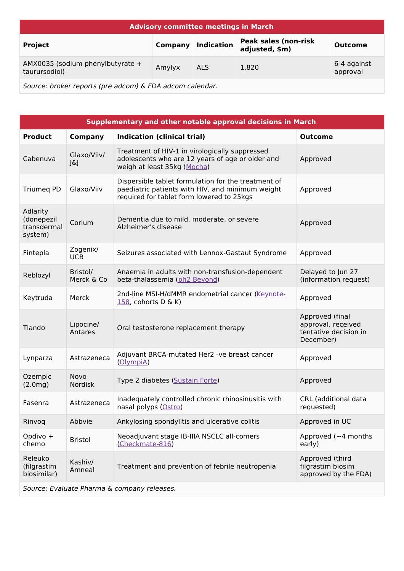| <b>Advisory committee meetings in March</b>                    |         |                   |                                               |                         |  |  |
|----------------------------------------------------------------|---------|-------------------|-----------------------------------------------|-------------------------|--|--|
| <b>Project</b>                                                 | Company | <b>Indication</b> | <b>Peak sales (non-risk</b><br>adjusted, \$m) | <b>Outcome</b>          |  |  |
| AMX0035 (sodium phenylbutyrate +<br>taurursodiol)              | Amylyx  | ALS.              | 1,820                                         | 6-4 against<br>approval |  |  |
| Counseloration non onto (non advance) C FDA advance as longlan |         |                   |                                               |                         |  |  |

Source: broker reports (pre adcom) & FDA adcom calendar.

| Supplementary and other notable approval decisions in March |                        |                                                                                                                                                      |                                                                             |  |  |
|-------------------------------------------------------------|------------------------|------------------------------------------------------------------------------------------------------------------------------------------------------|-----------------------------------------------------------------------------|--|--|
| <b>Product</b>                                              | <b>Company</b>         | <b>Indication (clinical trial)</b>                                                                                                                   | <b>Outcome</b>                                                              |  |  |
| Cabenuva                                                    | Glaxo/Viiv/<br>J&J     | Treatment of HIV-1 in virologically suppressed<br>adolescents who are 12 years of age or older and<br>weigh at least 35kg (Mocha)                    | Approved                                                                    |  |  |
| <b>Triumeg PD</b>                                           | Glaxo/Viiv             | Dispersible tablet formulation for the treatment of<br>paediatric patients with HIV, and minimum weight<br>required for tablet form lowered to 25kgs | Approved                                                                    |  |  |
| Adlarity<br>(donepezil<br>transdermal<br>system)            | Corium                 | Dementia due to mild, moderate, or severe<br>Alzheimer's disease                                                                                     | Approved                                                                    |  |  |
| Fintepla                                                    | Zogenix/<br><b>UCB</b> | Seizures associated with Lennox-Gastaut Syndrome                                                                                                     | Approved                                                                    |  |  |
| Reblozyl                                                    | Bristol/<br>Merck & Co | Anaemia in adults with non-transfusion-dependent<br>beta-thalassemia (ph2 Beyond)                                                                    | Delayed to Jun 27<br>(information request)                                  |  |  |
| Keytruda                                                    | Merck                  | 2nd-line MSI-H/dMMR endometrial cancer (Keynote-<br>158, cohorts $D \& K$ )                                                                          | Approved                                                                    |  |  |
| Tlando                                                      | Lipocine/<br>Antares   | Oral testosterone replacement therapy                                                                                                                | Approved (final<br>approval, received<br>tentative decision in<br>December) |  |  |
| Lynparza                                                    | Astrazeneca            | Adjuvant BRCA-mutated Her2 -ve breast cancer<br>(OlympiA)                                                                                            | Approved                                                                    |  |  |
| Ozempic<br>(2.0mg)                                          | Novo<br>Nordisk        | Type 2 diabetes (Sustain Forte)                                                                                                                      | Approved                                                                    |  |  |
| Fasenra                                                     | Astrazeneca            | Inadequately controlled chronic rhinosinusitis with<br>nasal polyps (Ostro)                                                                          | CRL (additional data<br>requested)                                          |  |  |
| Rinvoq                                                      | Abbvie                 | Ankylosing spondylitis and ulcerative colitis                                                                                                        | Approved in UC                                                              |  |  |
| Opdivo +<br>chemo                                           | <b>Bristol</b>         | Neoadjuvant stage IB-IIIA NSCLC all-comers<br>(Checkmate-816)                                                                                        | Approved ( $\sim$ 4 months<br>early)                                        |  |  |
| Releuko<br>(filgrastim<br>biosimilar)                       | Kashiv/<br>Amneal      | Treatment and prevention of febrile neutropenia                                                                                                      | Approved (third<br>filgrastim biosim<br>approved by the FDA)                |  |  |
| Source: Evaluate Pharma & company releases.                 |                        |                                                                                                                                                      |                                                                             |  |  |